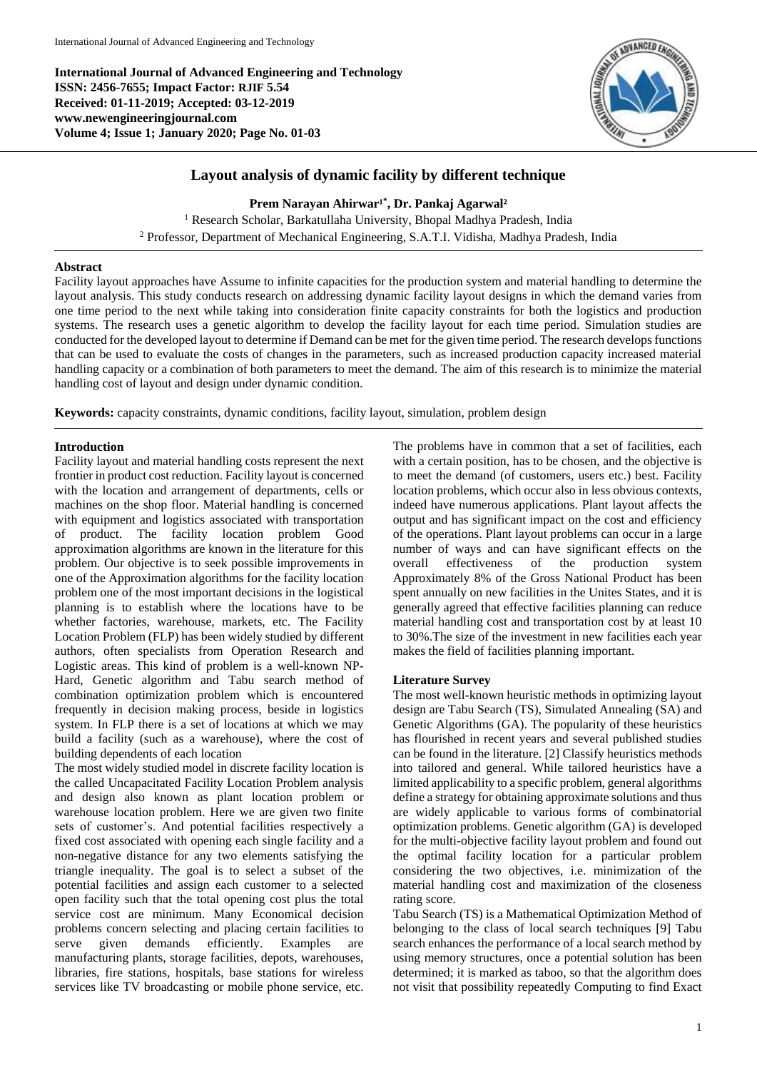**International Journal of Advanced Engineering and Technology ISSN: 2456-7655; Impact Factor: RJIF 5.54 Received: 01-11-2019; Accepted: 03-12-2019 www.newengineeringjournal.com Volume 4; Issue 1; January 2020; Page No. 01-03**



# **Layout analysis of dynamic facility by different technique**

Prem Narayan Ahirwar<sup>1\*</sup>, Dr. Pankaj Agarwal<sup>2</sup>

<sup>1</sup> Research Scholar, Barkatullaha University, Bhopal Madhya Pradesh, India <sup>2</sup> Professor, Department of Mechanical Engineering, S.A.T.I. Vidisha, Madhya Pradesh, India

### **Abstract**

Facility layout approaches have Assume to infinite capacities for the production system and material handling to determine the layout analysis. This study conducts research on addressing dynamic facility layout designs in which the demand varies from one time period to the next while taking into consideration finite capacity constraints for both the logistics and production systems. The research uses a genetic algorithm to develop the facility layout for each time period. Simulation studies are conducted for the developed layout to determine if Demand can be met for the given time period. The research develops functions that can be used to evaluate the costs of changes in the parameters, such as increased production capacity increased material handling capacity or a combination of both parameters to meet the demand. The aim of this research is to minimize the material handling cost of layout and design under dynamic condition.

**Keywords:** capacity constraints, dynamic conditions, facility layout, simulation, problem design

# **Introduction**

Facility layout and material handling costs represent the next frontier in product cost reduction. Facility layout is concerned with the location and arrangement of departments, cells or machines on the shop floor. Material handling is concerned with equipment and logistics associated with transportation of product. The facility location problem Good approximation algorithms are known in the literature for this problem. Our objective is to seek possible improvements in one of the Approximation algorithms for the facility location problem one of the most important decisions in the logistical planning is to establish where the locations have to be whether factories, warehouse, markets, etc. The Facility Location Problem (FLP) has been widely studied by different authors, often specialists from Operation Research and Logistic areas. This kind of problem is a well-known NP-Hard, Genetic algorithm and Tabu search method of combination optimization problem which is encountered frequently in decision making process, beside in logistics system. In FLP there is a set of locations at which we may build a facility (such as a warehouse), where the cost of building dependents of each location

The most widely studied model in discrete facility location is the called Uncapacitated Facility Location Problem analysis and design also known as plant location problem or warehouse location problem. Here we are given two finite sets of customer's. And potential facilities respectively a fixed cost associated with opening each single facility and a non-negative distance for any two elements satisfying the triangle inequality. The goal is to select a subset of the potential facilities and assign each customer to a selected open facility such that the total opening cost plus the total service cost are minimum. Many Economical decision problems concern selecting and placing certain facilities to serve given demands efficiently. Examples are manufacturing plants, storage facilities, depots, warehouses, libraries, fire stations, hospitals, base stations for wireless services like TV broadcasting or mobile phone service, etc.

The problems have in common that a set of facilities, each with a certain position, has to be chosen, and the objective is to meet the demand (of customers, users etc.) best. Facility location problems, which occur also in less obvious contexts, indeed have numerous applications. Plant layout affects the output and has significant impact on the cost and efficiency of the operations. Plant layout problems can occur in a large number of ways and can have significant effects on the overall effectiveness of the production system Approximately 8% of the Gross National Product has been spent annually on new facilities in the Unites States, and it is generally agreed that effective facilities planning can reduce material handling cost and transportation cost by at least 10 to 30%.The size of the investment in new facilities each year makes the field of facilities planning important.

# **Literature Survey**

The most well-known heuristic methods in optimizing layout design are Tabu Search (TS), Simulated Annealing (SA) and Genetic Algorithms (GA). The popularity of these heuristics has flourished in recent years and several published studies can be found in the literature. [2] Classify heuristics methods into tailored and general. While tailored heuristics have a limited applicability to a specific problem, general algorithms define a strategy for obtaining approximate solutions and thus are widely applicable to various forms of combinatorial optimization problems. Genetic algorithm (GA) is developed for the multi-objective facility layout problem and found out the optimal facility location for a particular problem considering the two objectives, i.e. minimization of the material handling cost and maximization of the closeness rating score.

Tabu Search (TS) is a Mathematical Optimization Method of belonging to the class of local search techniques [9] Tabu search enhances the performance of a local search method by using memory structures, once a potential solution has been determined; it is marked as taboo, so that the algorithm does not visit that possibility repeatedly Computing to find Exact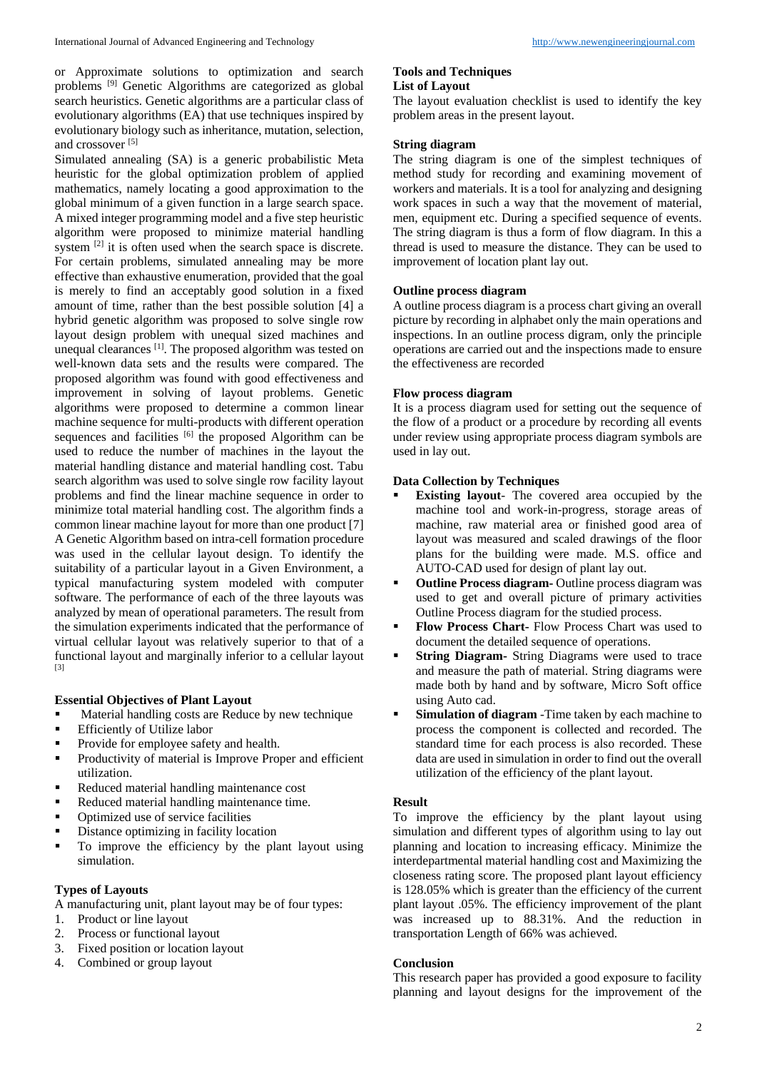or Approximate solutions to optimization and search problems [9] Genetic Algorithms are categorized as global search heuristics. Genetic algorithms are a particular class of evolutionary algorithms (EA) that use techniques inspired by evolutionary biology such as inheritance, mutation, selection, and crossover [5]

Simulated annealing (SA) is a generic probabilistic Meta heuristic for the global optimization problem of applied mathematics, namely locating a good approximation to the global minimum of a given function in a large search space. A mixed integer programming model and a five step heuristic algorithm were proposed to minimize material handling system <sup>[2]</sup> it is often used when the search space is discrete. For certain problems, simulated annealing may be more effective than exhaustive enumeration, provided that the goal is merely to find an acceptably good solution in a fixed amount of time, rather than the best possible solution [4] a hybrid genetic algorithm was proposed to solve single row layout design problem with unequal sized machines and unequal clearances <sup>[1]</sup>. The proposed algorithm was tested on well-known data sets and the results were compared. The proposed algorithm was found with good effectiveness and improvement in solving of layout problems. Genetic algorithms were proposed to determine a common linear machine sequence for multi-products with different operation sequences and facilities <sup>[6]</sup> the proposed Algorithm can be used to reduce the number of machines in the layout the material handling distance and material handling cost. Tabu search algorithm was used to solve single row facility layout problems and find the linear machine sequence in order to minimize total material handling cost. The algorithm finds a common linear machine layout for more than one product [7] A Genetic Algorithm based on intra-cell formation procedure was used in the cellular layout design. To identify the suitability of a particular layout in a Given Environment, a typical manufacturing system modeled with computer software. The performance of each of the three layouts was analyzed by mean of operational parameters. The result from the simulation experiments indicated that the performance of virtual cellular layout was relatively superior to that of a functional layout and marginally inferior to a cellular layout [3]

# **Essential Objectives of Plant Layout**

- Material handling costs are Reduce by new technique
- **Efficiently of Utilize labor**
- **Provide for employee safety and health.**
- **•** Productivity of material is Improve Proper and efficient utilization.
- Reduced material handling maintenance cost
- Reduced material handling maintenance time.
- Optimized use of service facilities
- Distance optimizing in facility location
- To improve the efficiency by the plant layout using simulation.

#### **Types of Layouts**

A manufacturing unit, plant layout may be of four types:

- 1. Product or line layout
- 2. Process or functional layout
- 3. Fixed position or location layout
- 4. Combined or group layout

#### **Tools and Techniques List of Layout**

The layout evaluation checklist is used to identify the key problem areas in the present layout.

### **String diagram**

The string diagram is one of the simplest techniques of method study for recording and examining movement of workers and materials. It is a tool for analyzing and designing work spaces in such a way that the movement of material, men, equipment etc. During a specified sequence of events. The string diagram is thus a form of flow diagram. In this a thread is used to measure the distance. They can be used to improvement of location plant lay out.

### **Outline process diagram**

A outline process diagram is a process chart giving an overall picture by recording in alphabet only the main operations and inspections. In an outline process digram, only the principle operations are carried out and the inspections made to ensure the effectiveness are recorded

#### **Flow process diagram**

It is a process diagram used for setting out the sequence of the flow of a product or a procedure by recording all events under review using appropriate process diagram symbols are used in lay out.

### **Data Collection by Techniques**

- **Existing layout** The covered area occupied by the machine tool and work-in-progress, storage areas of machine, raw material area or finished good area of layout was measured and scaled drawings of the floor plans for the building were made. M.S. office and AUTO-CAD used for design of plant lay out.
- **Outline Process diagram-** Outline process diagram was used to get and overall picture of primary activities Outline Process diagram for the studied process.
- **Flow Process Chart-** Flow Process Chart was used to document the detailed sequence of operations.
- **String Diagram-** String Diagrams were used to trace and measure the path of material. String diagrams were made both by hand and by software, Micro Soft office using Auto cad.
- **Simulation of diagram** -Time taken by each machine to process the component is collected and recorded. The standard time for each process is also recorded. These data are used in simulation in order to find out the overall utilization of the efficiency of the plant layout.

#### **Result**

To improve the efficiency by the plant layout using simulation and different types of algorithm using to lay out planning and location to increasing efficacy. Minimize the interdepartmental material handling cost and Maximizing the closeness rating score. The proposed plant layout efficiency is 128.05% which is greater than the efficiency of the current plant layout .05%. The efficiency improvement of the plant was increased up to 88.31%. And the reduction in transportation Length of 66% was achieved.

### **Conclusion**

This research paper has provided a good exposure to facility planning and layout designs for the improvement of the